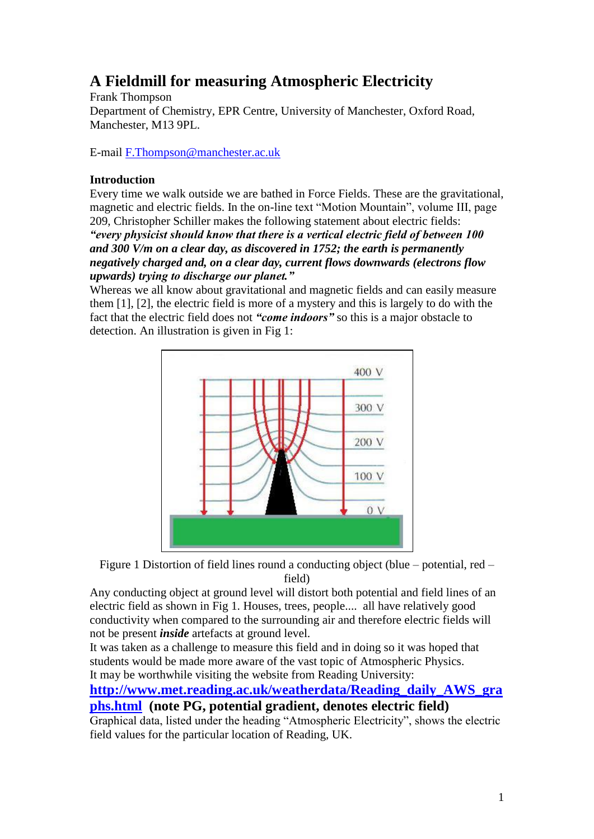# **A Fieldmill for measuring Atmospheric Electricity**

Frank Thompson Department of Chemistry, EPR Centre, University of Manchester, Oxford Road, Manchester, M13 9PL.

E-mail [F.Thompson@manchester.ac.uk](mailto:F.Thompson@manchester.ac.uk)

### **Introduction**

Every time we walk outside we are bathed in Force Fields. These are the gravitational, magnetic and electric fields. In the on-line text "Motion Mountain", volume III, page 209, Christopher Schiller makes the following statement about electric fields:

*"every physicist should know that there is a vertical electric field of between 100 and 300 V/m on a clear day, as discovered in 1752; the earth is permanently negatively charged and, on a clear day, current flows downwards (electrons flow upwards) trying to discharge our planet."*

Whereas we all know about gravitational and magnetic fields and can easily measure them [1], [2], the electric field is more of a mystery and this is largely to do with the fact that the electric field does not *"come indoors"* so this is a major obstacle to detection. An illustration is given in Fig 1:



Figure 1 Distortion of field lines round a conducting object (blue – potential, red – field)

Any conducting object at ground level will distort both potential and field lines of an electric field as shown in Fig 1. Houses, trees, people.... all have relatively good conductivity when compared to the surrounding air and therefore electric fields will not be present *inside* artefacts at ground level.

It was taken as a challenge to measure this field and in doing so it was hoped that students would be made more aware of the vast topic of Atmospheric Physics. It may be worthwhile visiting the website from Reading University:

**[http://www.met.reading.ac.uk/weatherdata/Reading\\_daily\\_AWS\\_gra](http://www.met.reading.ac.uk/weatherdata/Reading_daily_AWS_graphs.html) [phs.html](http://www.met.reading.ac.uk/weatherdata/Reading_daily_AWS_graphs.html) (note PG, potential gradient, denotes electric field)**

Graphical data, listed under the heading "Atmospheric Electricity", shows the electric field values for the particular location of Reading, UK.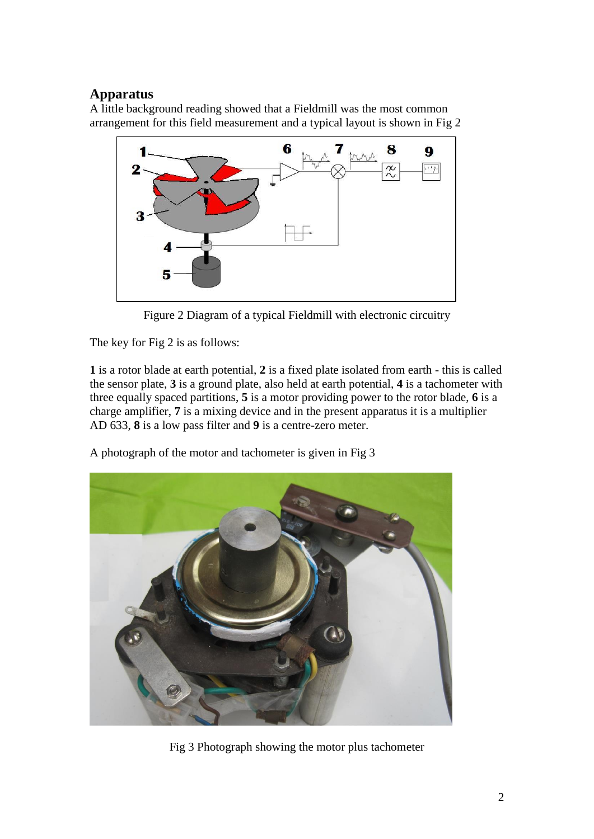# **Apparatus**

A little background reading showed that a Fieldmill was the most common arrangement for this field measurement and a typical layout is shown in Fig 2



Figure 2 Diagram of a typical Fieldmill with electronic circuitry

The key for Fig 2 is as follows:

**1** is a rotor blade at earth potential, **2** is a fixed plate isolated from earth - this is called the sensor plate, **3** is a ground plate, also held at earth potential, **4** is a tachometer with three equally spaced partitions, **5** is a motor providing power to the rotor blade, **6** is a charge amplifier, **7** is a mixing device and in the present apparatus it is a multiplier AD 633, **8** is a low pass filter and **9** is a centre-zero meter.

A photograph of the motor and tachometer is given in Fig 3



Fig 3 Photograph showing the motor plus tachometer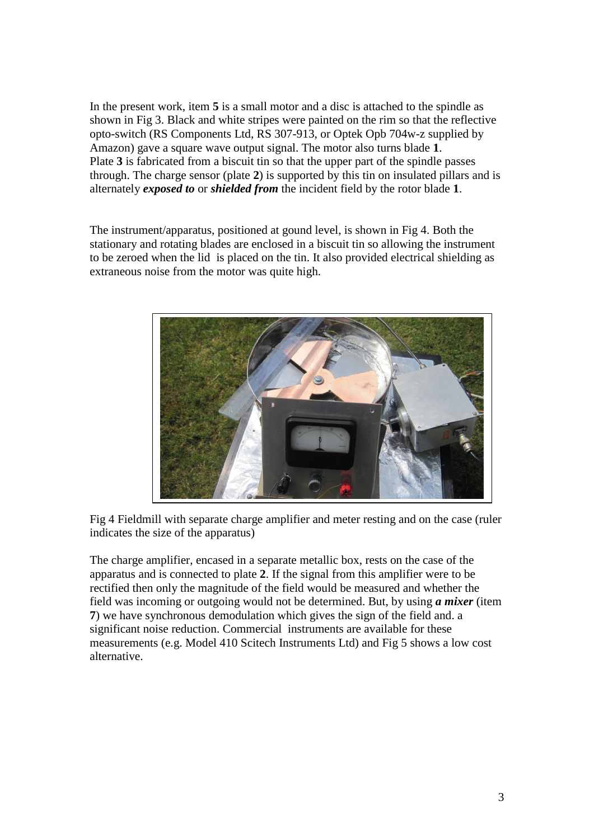In the present work, item **5** is a small motor and a disc is attached to the spindle as shown in Fig 3. Black and white stripes were painted on the rim so that the reflective opto-switch (RS Components Ltd, RS 307-913, or Optek Opb 704w-z supplied by Amazon) gave a square wave output signal. The motor also turns blade **1**. Plate **3** is fabricated from a biscuit tin so that the upper part of the spindle passes through. The charge sensor (plate **2**) is supported by this tin on insulated pillars and is alternately *exposed to* or *shielded from* the incident field by the rotor blade **1**.

The instrument/apparatus, positioned at gound level, is shown in Fig 4. Both the stationary and rotating blades are enclosed in a biscuit tin so allowing the instrument to be zeroed when the lid is placed on the tin. It also provided electrical shielding as extraneous noise from the motor was quite high.



Fig 4 Fieldmill with separate charge amplifier and meter resting and on the case (ruler indicates the size of the apparatus)

The charge amplifier, encased in a separate metallic box, rests on the case of the apparatus and is connected to plate **2**. If the signal from this amplifier were to be rectified then only the magnitude of the field would be measured and whether the field was incoming or outgoing would not be determined. But, by using *a mixer* (item **7**) we have synchronous demodulation which gives the sign of the field and. a significant noise reduction. Commercial instruments are available for these measurements (e.g. Model 410 Scitech Instruments Ltd) and Fig 5 shows a low cost alternative.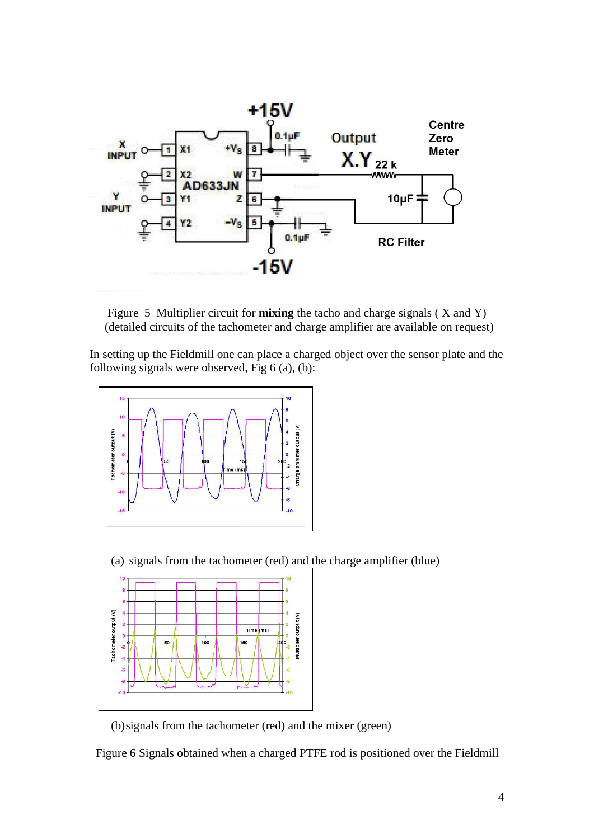

Figure 5 Multiplier circuit for **mixing** the tacho and charge signals ( X and Y) (detailed circuits of the tachometer and charge amplifier are available on request)

In setting up the Fieldmill one can place a charged object over the sensor plate and the following signals were observed, Fig 6 (a), (b):



(a) signals from the tachometer (red) and the charge amplifier (blue)



(b)signals from the tachometer (red) and the mixer (green)

Figure 6 Signals obtained when a charged PTFE rod is positioned over the Fieldmill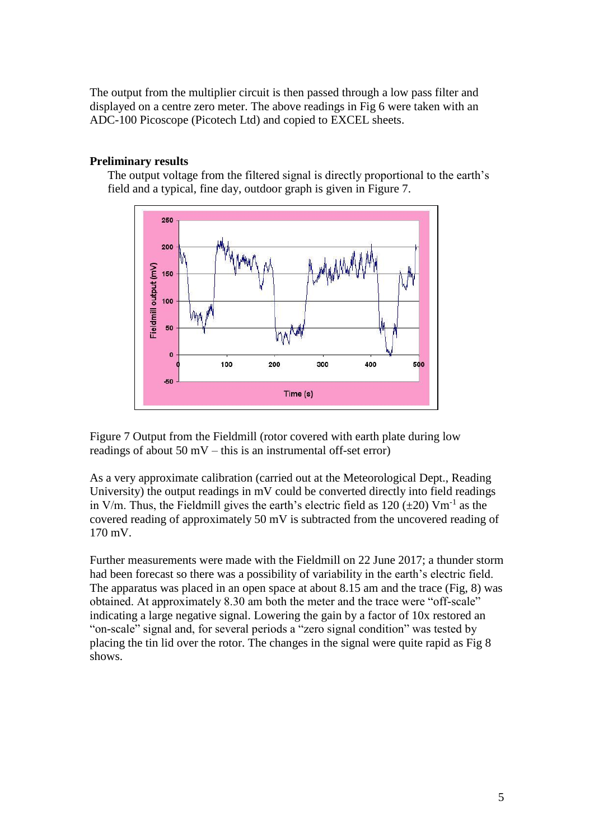The output from the multiplier circuit is then passed through a low pass filter and displayed on a centre zero meter. The above readings in Fig 6 were taken with an ADC-100 Picoscope (Picotech Ltd) and copied to EXCEL sheets.

#### **Preliminary results**

The output voltage from the filtered signal is directly proportional to the earth's field and a typical, fine day, outdoor graph is given in Figure 7.



Figure 7 Output from the Fieldmill (rotor covered with earth plate during low readings of about  $50 \text{ mV}$  – this is an instrumental off-set error)

As a very approximate calibration (carried out at the Meteorological Dept., Reading University) the output readings in mV could be converted directly into field readings in V/m. Thus, the Fieldmill gives the earth's electric field as  $120 \ (\pm 20)$  Vm<sup>-1</sup> as the covered reading of approximately 50 mV is subtracted from the uncovered reading of 170 mV.

Further measurements were made with the Fieldmill on 22 June 2017; a thunder storm had been forecast so there was a possibility of variability in the earth's electric field. The apparatus was placed in an open space at about 8.15 am and the trace (Fig, 8) was obtained. At approximately 8.30 am both the meter and the trace were "off-scale" indicating a large negative signal. Lowering the gain by a factor of 10x restored an "on-scale" signal and, for several periods a "zero signal condition" was tested by placing the tin lid over the rotor. The changes in the signal were quite rapid as Fig 8 shows.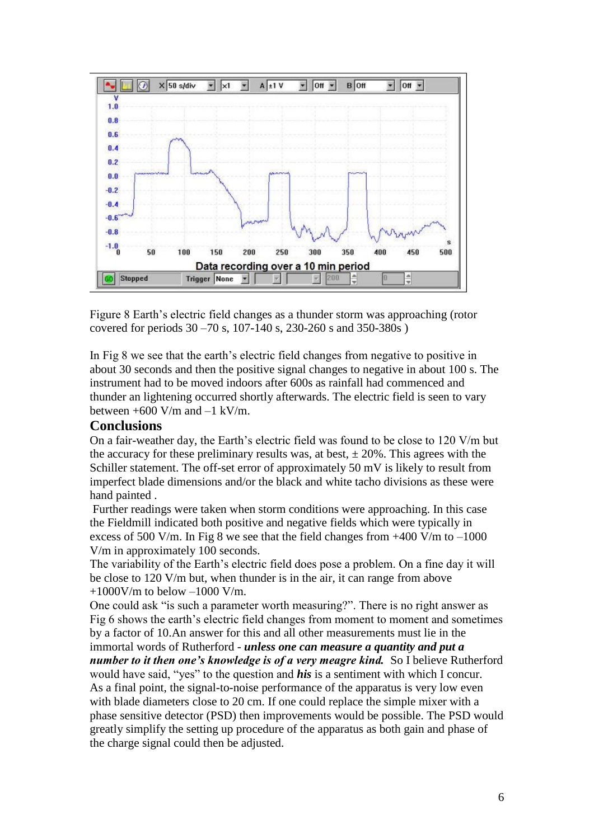

Figure 8 Earth's electric field changes as a thunder storm was approaching (rotor covered for periods 30 –70 s, 107-140 s, 230-260 s and 350-380s )

In Fig 8 we see that the earth's electric field changes from negative to positive in about 30 seconds and then the positive signal changes to negative in about 100 s. The instrument had to be moved indoors after 600s as rainfall had commenced and thunder an lightening occurred shortly afterwards. The electric field is seen to vary between  $+600$  V/m and  $-1$  kV/m.

## **Conclusions**

On a fair-weather day, the Earth's electric field was found to be close to 120 V/m but the accuracy for these preliminary results was, at best,  $\pm 20\%$ . This agrees with the Schiller statement. The off-set error of approximately 50 mV is likely to result from imperfect blade dimensions and/or the black and white tacho divisions as these were hand painted .

Further readings were taken when storm conditions were approaching. In this case the Fieldmill indicated both positive and negative fields which were typically in excess of 500 V/m. In Fig 8 we see that the field changes from  $+400$  V/m to  $-1000$ V/m in approximately 100 seconds.

The variability of the Earth's electric field does pose a problem. On a fine day it will be close to 120 V/m but, when thunder is in the air, it can range from above  $+1000$ V/m to below  $-1000$  V/m.

One could ask "is such a parameter worth measuring?". There is no right answer as Fig 6 shows the earth's electric field changes from moment to moment and sometimes by a factor of 10.An answer for this and all other measurements must lie in the

immortal words of Rutherford - *unless one can measure a quantity and put a number to it then one's knowledge is of a very meagre kind.* So I believe Rutherford would have said, "yes" to the question and *his* is a sentiment with which I concur. As a final point, the signal-to-noise performance of the apparatus is very low even with blade diameters close to 20 cm. If one could replace the simple mixer with a phase sensitive detector (PSD) then improvements would be possible. The PSD would greatly simplify the setting up procedure of the apparatus as both gain and phase of the charge signal could then be adjusted.